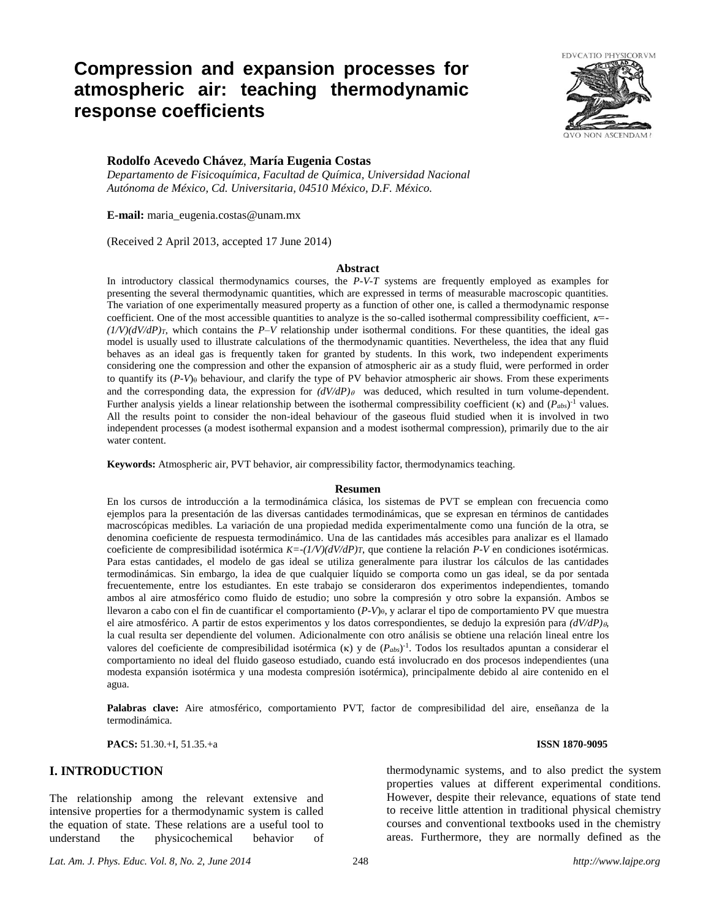# **Compression and expansion processes for atmospheric air: teaching thermodynamic response coefficients**



## **Rodolfo Acevedo Chávez**, **María Eugenia Costas**

*Departamento de Fisicoquímica, Facultad de Química, Universidad Nacional Autónoma de México, Cd. Universitaria, 04510 México, D.F. México.*

**E-mail:** [maria\\_eugenia.costas@unam.mx](mailto:maria_eugenia.costas@unam.mx)

(Received 2 April 2013, accepted 17 June 2014)

#### **Abstract**

In introductory classical thermodynamics courses, the *P-V-T* systems are frequently employed as examples for presenting the several thermodynamic quantities, which are expressed in terms of measurable macroscopic quantities. The variation of one experimentally measured property as a function of other one, is called a thermodynamic response coefficient. One of the most accessible quantities to analyze is the so-called isothermal compressibility coefficient,  $\kappa$ =  $(1/V)(dV/dP)_T$ , which contains the *P–V* relationship under isothermal conditions. For these quantities, the ideal gas model is usually used to illustrate calculations of the thermodynamic quantities. Nevertheless, the idea that any fluid behaves as an ideal gas is frequently taken for granted by students. In this work, two independent experiments considering one the compression and other the expansion of atmospheric air as a study fluid, were performed in order to quantify its (P-V)<sub>0</sub> behaviour, and clarify the type of PV behavior atmospheric air shows. From these experiments and the corresponding data, the expression for  $(dV/dP)$  was deduced, which resulted in turn volume-dependent. Further analysis yields a linear relationship between the isothermal compressibility coefficient  $(\kappa)$  and  $(P_{abs})^{-1}$  values. All the results point to consider the non-ideal behaviour of the gaseous fluid studied when it is involved in two independent processes (a modest isothermal expansion and a modest isothermal compression), primarily due to the air water content.

**Keywords:** Atmospheric air, PVT behavior, air compressibility factor, thermodynamics teaching.

#### **Resumen**

En los cursos de introducción a la termodinámica clásica, los sistemas de PVT se emplean con frecuencia como ejemplos para la presentación de las diversas cantidades termodinámicas, que se expresan en términos de cantidades macroscópicas medibles. La variación de una propiedad medida experimentalmente como una función de la otra, se denomina coeficiente de respuesta termodinámico. Una de las cantidades más accesibles para analizar es el llamado coeficiente de compresibilidad isotérmica *K=-(1/V)(dV/dP)T*, que contiene la relación *P-V* en condiciones isotérmicas. Para estas cantidades, el modelo de gas ideal se utiliza generalmente para ilustrar los cálculos de las cantidades termodinámicas. Sin embargo, la idea de que cualquier líquido se comporta como un gas ideal, se da por sentada frecuentemente, entre los estudiantes. En este trabajo se consideraron dos experimentos independientes, tomando ambos al aire atmosférico como fluido de estudio; uno sobre la compresión y otro sobre la expansión. Ambos se llevaron a cabo con el fin de cuantificar el comportamiento (*P-V*), y aclarar el tipo de comportamiento PV que muestra el aire atmosférico. A partir de estos experimentos y los datos correspondientes, se dedujo la expresión para *(dV/dP)*, la cual resulta ser dependiente del volumen. Adicionalmente con otro análisis se obtiene una relación lineal entre los valores del coeficiente de compresibilidad isotérmica ( $\kappa$ ) y de  $(P_{abs})^{-1}$ . Todos los resultados apuntan a considerar el comportamiento no ideal del fluido gaseoso estudiado, cuando está involucrado en dos procesos independientes (una modesta expansión isotérmica y una modesta compresión isotérmica), principalmente debido al aire contenido en el agua.

**Palabras clave:** Aire atmosférico, comportamiento PVT, factor de compresibilidad del aire, enseñanza de la termodinámica.

**PACS:** 51.30.+I, 51.35.+a **ISSN 1870-9095**

# **I. INTRODUCTION**

The relationship among the relevant extensive and intensive properties for a thermodynamic system is called the equation of state. These relations are a useful tool to understand the physicochemical behavior of

thermodynamic systems, and to also predict the system properties values at different experimental conditions. However, despite their relevance, equations of state tend to receive little attention in traditional physical chemistry courses and conventional textbooks used in the chemistry areas. Furthermore, they are normally defined as the

*Lat. Am. J. Phys. Educ. Vol. 8, No. 2, June 2014* 248 *http://www.lajpe.org*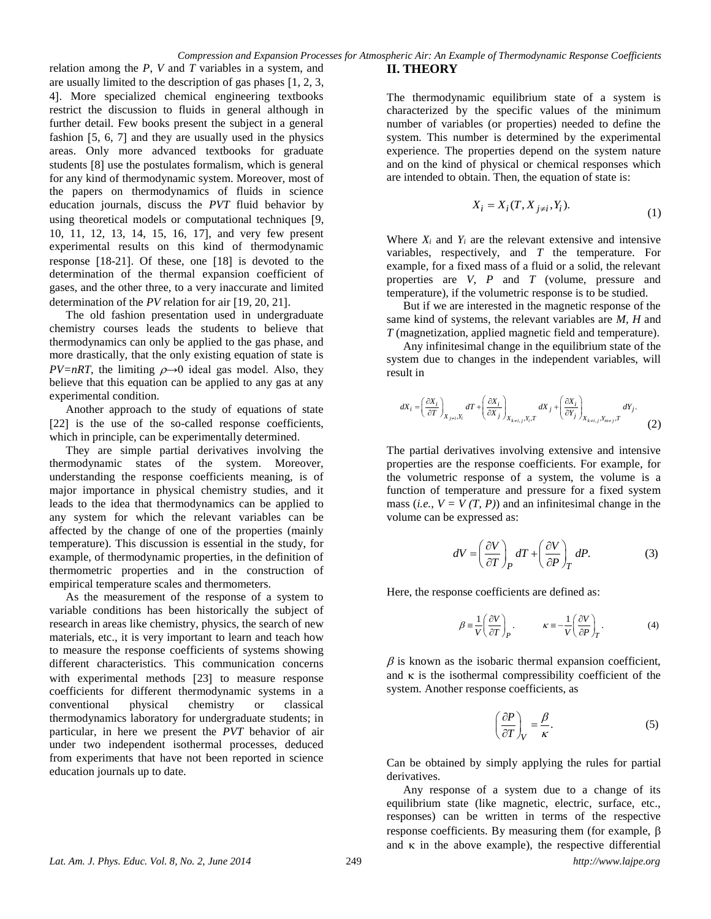relation among the *P*, *V* and *T* variables in a system, and are usually limited to the description of gas phases  $[1, 2, 3, 4]$ 4. More specialized chemical engineering textbooks restrict the discussion to fluids in general although in further detail. Few books present the subject in a general fashion  $[5, 6, 7]$  and they are usually used in the physics areas. Only more advanced textbooks for graduate students [8] use the postulates formalism, which is general for any kind of thermodynamic system. Moreover, most of the papers on thermodynamics of fluids in science education journals, discuss the *PVT* fluid behavior by using theoretical models or computational techniques [9, 10, 11, 12, 13, 14, 15, 16, 17, and very few present experimental results on this kind of thermodynamic response  $[18-21]$ . Of these, one  $[18]$  is devoted to the determination of the thermal expansion coefficient of gases, and the other three, to a very inaccurate and limited determination of the *PV* relation for air [19, 20, 21].

The old fashion presentation used in undergraduate chemistry courses leads the students to believe that thermodynamics can only be applied to the gas phase, and more drastically, that the only existing equation of state is *PV=nRT*, the limiting  $\rho \rightarrow 0$  ideal gas model. Also, they believe that this equation can be applied to any gas at any experimental condition.

Another approach to the study of equations of state [22] is the use of the so-called response coefficients, which in principle, can be experimentally determined.

They are simple partial derivatives involving the thermodynamic states of the system. Moreover, understanding the response coefficients meaning, is of major importance in physical chemistry studies, and it leads to the idea that thermodynamics can be applied to any system for which the relevant variables can be affected by the change of one of the properties (mainly temperature). This discussion is essential in the study, for example, of thermodynamic properties, in the definition of thermometric properties and in the construction of empirical temperature scales and thermometers.

As the measurement of the response of a system to variable conditions has been historically the subject of research in areas like chemistry, physics, the search of new materials, etc., it is very important to learn and teach how to measure the response coefficients of systems showing different characteristics. This communication concerns with experimental methods [23] to measure response coefficients for different thermodynamic systems in a conventional physical chemistry or classical thermodynamics laboratory for undergraduate students; in particular, in here we present the *PVT* behavior of air under two independent isothermal processes, deduced from experiments that have not been reported in science education journals up to date.

## **II. THEORY**

The thermodynamic equilibrium state of a system is characterized by the specific values of the minimum number of variables (or properties) needed to define the system. This number is determined by the experimental experience. The properties depend on the system nature and on the kind of physical or chemical responses which are intended to obtain. Then, the equation of state is:

$$
X_i = X_i(T, X_{j \neq i}, Y_i). \tag{1}
$$

Where  $X_i$  and  $Y_i$  are the relevant extensive and intensive variables, respectively, and *T* the temperature. For example, for a fixed mass of a fluid or a solid, the relevant properties are *V*, *P* and *T* (volume, pressure and temperature), if the volumetric response is to be studied.

But if we are interested in the magnetic response of the same kind of systems, the relevant variables are *M*, *H* and *T* (magnetization, applied magnetic field and temperature).

Any infinitesimal change in the equilibrium state of the system due to changes in the independent variables, will result in

$$
dX_i = \left(\frac{\partial X_i}{\partial T}\right)_{X_{j\neq i}, Y_i} dT + \left(\frac{\partial X_i}{\partial X_j}\right)_{X_{k\neq i,j}, Y_i, T} dX_j + \left(\frac{\partial X_i}{\partial Y_j}\right)_{X_{k\neq i,j}, Y_{m\neq j}, T} dY_j.
$$
 (2)

The partial derivatives involving extensive and intensive properties are the response coefficients. For example, for the volumetric response of a system, the volume is a function of temperature and pressure for a fixed system mass (*i.e.*,  $V = V(T, P)$ ) and an infinitesimal change in the volume can be expressed as:

$$
dV = \left(\frac{\partial V}{\partial T}\right)_P dT + \left(\frac{\partial V}{\partial P}\right)_T dP.
$$
 (3)

Here, the response coefficients are defined as:

$$
\beta = \frac{1}{V} \left( \frac{\partial V}{\partial T} \right)_P, \qquad \kappa = -\frac{1}{V} \left( \frac{\partial V}{\partial P} \right)_T.
$$
 (4)

 $\beta$  is known as the isobaric thermal expansion coefficient, and  $\kappa$  is the isothermal compressibility coefficient of the system. Another response coefficients, as

$$
\left(\frac{\partial P}{\partial T}\right)_V = \frac{\beta}{\kappa}.\tag{5}
$$

Can be obtained by simply applying the rules for partial derivatives.

Any response of a system due to a change of its equilibrium state (like magnetic, electric, surface, etc., responses) can be written in terms of the respective response coefficients. By measuring them (for example,  $\beta$ and  $\kappa$  in the above example), the respective differential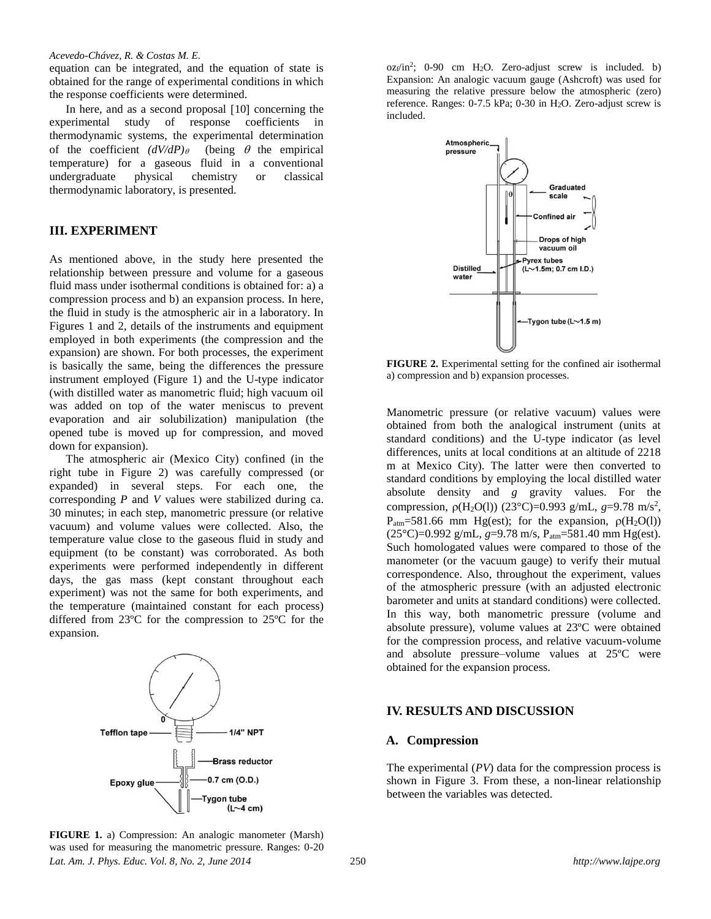#### *Acevedo-Chávez, R. & Costas M. E.*

equation can be integrated, and the equation of state is obtained for the range of experimental conditions in which the response coefficients were determined.

In here, and as a second proposal  $[10]$  concerning the experimental study of response coefficients in thermodynamic systems, the experimental determination of the coefficient  $(dV/dP)_{\theta}$  (being  $\theta$  the empirical temperature) for a gaseous fluid in a conventional undergraduate physical chemistry or classical thermodynamic laboratory, is presented.

# **III. EXPERIMENT**

As mentioned above, in the study here presented the relationship between pressure and volume for a gaseous fluid mass under isothermal conditions is obtained for: a) a compression process and b) an expansion process. In here, the fluid in study is the atmospheric air in a laboratory. In Figures 1 and 2, details of the instruments and equipment employed in both experiments (the compression and the expansion) are shown. For both processes, the experiment is basically the same, being the differences the pressure instrument employed (Figure 1) and the U-type indicator (with distilled water as manometric fluid; high vacuum oil was added on top of the water meniscus to prevent evaporation and air solubilization) manipulation (the opened tube is moved up for compression, and moved down for expansion).

The atmospheric air (Mexico City) confined (in the right tube in Figure 2) was carefully compressed (or expanded) in several steps. For each one, the corresponding *P* and *V* values were stabilized during ca. 30 minutes; in each step, manometric pressure (or relative vacuum) and volume values were collected. Also, the temperature value close to the gaseous fluid in study and equipment (to be constant) was corroborated. As both experiments were performed independently in different days, the gas mass (kept constant throughout each experiment) was not the same for both experiments, and the temperature (maintained constant for each process) differed from 23ºC for the compression to 25ºC for the expansion.



 $oz_f/in^2$ ; 0-90 cm H<sub>2</sub>O. Zero-adjust screw is included. b) Expansion: An analogic vacuum gauge (Ashcroft) was used for measuring the relative pressure below the atmospheric (zero) reference. Ranges: 0-7.5 kPa; 0-30 in H2O. Zero-adjust screw is included.



**FIGURE 2.** Experimental setting for the confined air isothermal a) compression and b) expansion processes.

Manometric pressure (or relative vacuum) values were obtained from both the analogical instrument (units at standard conditions) and the U-type indicator (as level differences, units at local conditions at an altitude of 2218 m at Mexico City). The latter were then converted to standard conditions by employing the local distilled water absolute density and *g* gravity values. For the compression, *ρ*(H<sub>2</sub>O(l)) (23°C)=0.993 g/mL, *g*=9.78 m/s<sup>2</sup>,  $P_{\text{atm}}=581.66$  mm Hg(est); for the expansion,  $\rho(H_2O(1))$ (25°C)=0.992 g/mL, *g*=9.78 m/s, Patm=581.40 mm Hg(est). Such homologated values were compared to those of the manometer (or the vacuum gauge) to verify their mutual correspondence. Also, throughout the experiment, values of the atmospheric pressure (with an adjusted electronic barometer and units at standard conditions) were collected. In this way, both manometric pressure (volume and absolute pressure), volume values at 23ºC were obtained for the compression process, and relative vacuum-volume and absolute pressure–volume values at 25ºC were obtained for the expansion process.

### **IV. RESULTS AND DISCUSSION**

#### **A. Compression**

The experimental (*PV*) data for the compression process is shown in Figure 3. From these, a non-linear relationship between the variables was detected.

*Lat. Am. J. Phys. Educ. Vol. 8, No. 2, June 2014* 250 *http://www.lajpe.org* **FIGURE 1.** a) Compression: An analogic manometer (Marsh) was used for measuring the manometric pressure. Ranges: 0-20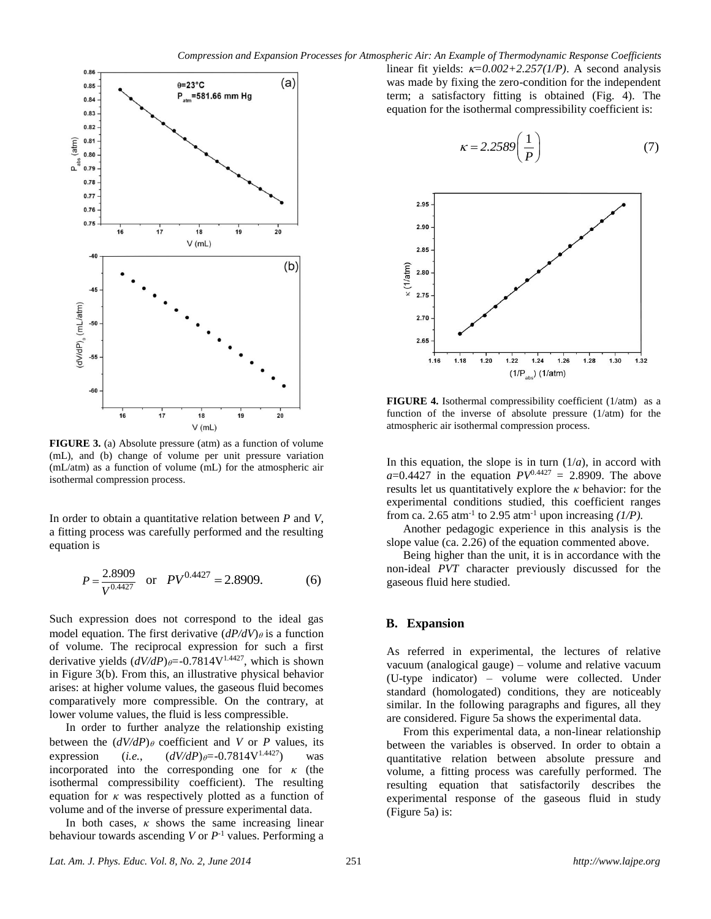

**FIGURE 3.** (a) Absolute pressure (atm) as a function of volume (mL), and (b) change of volume per unit pressure variation (mL/atm) as a function of volume (mL) for the atmospheric air isothermal compression process.

In order to obtain a quantitative relation between *P* and *V*, a fitting process was carefully performed and the resulting equation is

$$
P = \frac{2.8909}{V^{0.4427}} \quad \text{or} \quad PV^{0.4427} = 2.8909. \tag{6}
$$

Such expression does not correspond to the ideal gas model equation. The first derivative  $(dP/dV)_{\theta}$  is a function of volume. The reciprocal expression for such a first derivative yields  $(dV/dP)_{\theta} = -0.7814V^{1.4427}$ , which is shown in Figure 3(b). From this, an illustrative physical behavior arises: at higher volume values, the gaseous fluid becomes comparatively more compressible. On the contrary, at lower volume values, the fluid is less compressible.

In order to further analyze the relationship existing between the  $(dV/dP)$  coefficient and *V* or *P* values, its expression (*i.e.*,  $(dV/dP)_{\theta} = -0.7814V^{1.4427}$ ) was incorporated into the corresponding one for  $\kappa$  (the isothermal compressibility coefficient). The resulting equation for *κ* was respectively plotted as a function of volume and of the inverse of pressure experimental data.

In both cases,  $\kappa$  shows the same increasing linear behaviour towards ascending  $V$  or  $P^{-1}$  values. Performing a linear fit yields:  $\kappa = 0.002 + 2.257(1/P)$ . A second analysis was made by fixing the zero-condition for the independent term; a satisfactory fitting is obtained (Fig. 4). The equation for the isothermal compressibility coefficient is:

$$
\kappa = 2.2589 \left( \frac{1}{P} \right) \tag{7}
$$



**FIGURE 4.** Isothermal compressibility coefficient (1/atm) as a function of the inverse of absolute pressure (1/atm) for the atmospheric air isothermal compression process.

In this equation, the slope is in turn  $(1/a)$ , in accord with  $a=0.4427$  in the equation  $PV^{0.4427} = 2.8909$ . The above results let us quantitatively explore the *κ* behavior: for the experimental conditions studied, this coefficient ranges from ca. 2.65 atm<sup>-1</sup> to 2.95 atm<sup>-1</sup> upon increasing  $(1/P)$ .

Another pedagogic experience in this analysis is the slope value (ca. 2.26) of the equation commented above.

Being higher than the unit, it is in accordance with the non-ideal *PVT* character previously discussed for the gaseous fluid here studied.

## **B. Expansion**

As referred in experimental, the lectures of relative vacuum (analogical gauge) – volume and relative vacuum (U-type indicator) – volume were collected. Under standard (homologated) conditions, they are noticeably similar. In the following paragraphs and figures, all they are considered. Figure 5a shows the experimental data.

From this experimental data, a non-linear relationship between the variables is observed. In order to obtain a quantitative relation between absolute pressure and volume, a fitting process was carefully performed. The resulting equation that satisfactorily describes the experimental response of the gaseous fluid in study (Figure 5a) is: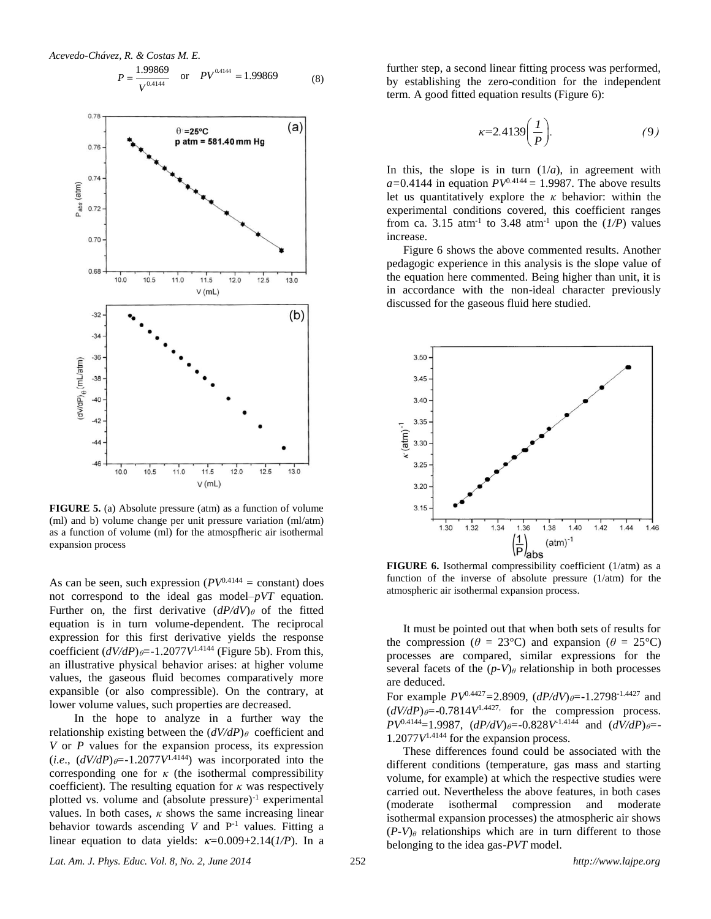

0.4144



**FIGURE 5.** (a) Absolute pressure (atm) as a function of volume (ml) and b) volume change per unit pressure variation (ml/atm) as a function of volume (ml) for the atmospfheric air isothermal expansion process

As can be seen, such expression ( $PV^{0.4144}$  = constant) does not correspond to the ideal gas model–*pVT* equation. Further on, the first derivative  $(dP/dV)_{\theta}$  of the fitted equation is in turn volume-dependent. The reciprocal expression for this first derivative yields the response coefficient  $(dV/dP)_{\theta} = -1.2077V^{1.4144}$  (Figure 5b). From this, an illustrative physical behavior arises: at higher volume values, the gaseous fluid becomes comparatively more expansible (or also compressible). On the contrary, at lower volume values, such properties are decreased.

In the hope to analyze in a further way the relationship existing between the  $(dV/dP)$ <sup> $\theta$ </sup> coefficient and *V* or *P* values for the expansion process, its expression  $(i.e., (dV/dP)<sub>θ</sub>=-1.2077V<sup>1.4144</sup>)$  was incorporated into the corresponding one for  $\kappa$  (the isothermal compressibility coefficient). The resulting equation for  $\kappa$  was respectively plotted vs. volume and (absolute pressure)<sup>-1</sup> experimental values. In both cases,  $\kappa$  shows the same increasing linear behavior towards ascending  $V$  and  $P^{-1}$  values. Fitting a linear equation to data yields:  $\kappa=0.009+2.14(1/P)$ . In a

further step, a second linear fitting process was performed, by establishing the zero-condition for the independent term. A good fitted equation results (Figure 6):

$$
\kappa = 2.4139 \left( \frac{I}{P} \right). \tag{9}
$$

In this, the slope is in turn  $(1/a)$ , in agreement with  $a=0.4144$  in equation  $PV^{0.4144} = 1.9987$ . The above results let us quantitatively explore the *κ* behavior: within the experimental conditions covered, this coefficient ranges from ca. 3.15 atm<sup>-1</sup> to 3.48 atm<sup>-1</sup> upon the  $(I/P)$  values increase.

Figure 6 shows the above commented results. Another pedagogic experience in this analysis is the slope value of the equation here commented. Being higher than unit, it is in accordance with the non-ideal character previously discussed for the gaseous fluid here studied.



**FIGURE 6.** Isothermal compressibility coefficient (1/atm) as a function of the inverse of absolute pressure (1/atm) for the atmospheric air isothermal expansion process.

It must be pointed out that when both sets of results for the compression ( $\theta = 23^{\circ}$ C) and expansion ( $\theta = 25^{\circ}$ C) processes are compared, similar expressions for the several facets of the  $(p-V)$ *θ* relationship in both processes are deduced.

For example *PV*0.4427*=*2.8909, (*dP/dV*)*=-*1.2798-1.4427 and  $(dV/dP)_{\theta} = -0.7814V^{1.4427}$ , for the compression process.  $PV^{0.4144}$ =1.9987,  $(dP/dV)_{\theta}$ =-0.828*V*<sup>-1.4144</sup> and  $(dV/dP)_{\theta}$ =- $1.2077V^{1.4144}$  for the expansion process.

These differences found could be associated with the different conditions (temperature, gas mass and starting volume, for example) at which the respective studies were carried out. Nevertheless the above features, in both cases (moderate isothermal compression and moderate isothermal expansion processes) the atmospheric air shows  $(P-V)$ <sup> $\theta$ </sup> relationships which are in turn different to those belonging to the idea gas-*PVT* model.

*Lat. Am. J. Phys. Educ. Vol. 8, No. 2, June 2014* 252 *http://www.lajpe.org*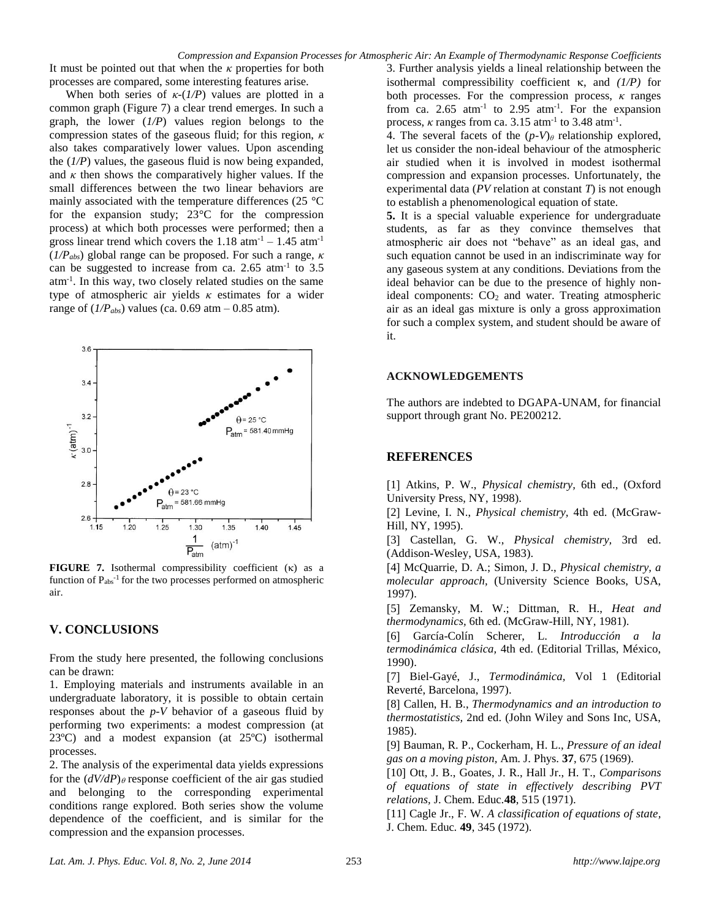It must be pointed out that when the *κ* properties for both processes are compared, some interesting features arise.

When both series of  $\kappa$ -( $1/P$ ) values are plotted in a common graph (Figure 7) a clear trend emerges. In such a graph, the lower (*1/P*) values region belongs to the compression states of the gaseous fluid; for this region, *κ* also takes comparatively lower values. Upon ascending the (*1/P*) values, the gaseous fluid is now being expanded, and  $\kappa$  then shows the comparatively higher values. If the small differences between the two linear behaviors are mainly associated with the temperature differences (25 °C for the expansion study; 23°C for the compression process) at which both processes were performed; then a gross linear trend which covers the  $1.18 \text{ atm}^{-1} - 1.45 \text{ atm}^{-1}$ (*1/Pabs*) global range can be proposed. For such a range, *κ* can be suggested to increase from ca. 2.65  $atm^{-1}$  to 3.5 atm-1 . In this way, two closely related studies on the same type of atmospheric air yields *κ* estimates for a wider range of  $(I/P<sub>abs</sub>)$  values (ca. 0.69 atm – 0.85 atm).



**FIGURE** 7. Isothermal compressibility coefficient  $(\kappa)$  as a function of  $P_{\text{abs}}^{-1}$  for the two processes performed on atmospheric air.

# **V. CONCLUSIONS**

From the study here presented, the following conclusions can be drawn:

1. Employing materials and instruments available in an undergraduate laboratory, it is possible to obtain certain responses about the *p-V* behavior of a gaseous fluid by performing two experiments: a modest compression (at 23ºC) and a modest expansion (at 25ºC) isothermal processes.

2. The analysis of the experimental data yields expressions for the  $(dV/dP)$  e response coefficient of the air gas studied and belonging to the corresponding experimental conditions range explored. Both series show the volume dependence of the coefficient, and is similar for the compression and the expansion processes.

3. Further analysis yields a lineal relationship between the isothermal compressibility coefficient  $\kappa$ , and  $(1/P)$  for both processes. For the compression process, *κ* ranges from ca. 2.65  $atm^{-1}$  to 2.95  $atm^{-1}$ . For the expansion process,  $\kappa$  ranges from ca. 3.15 atm<sup>-1</sup> to 3.48 atm<sup>-1</sup>.

4. The several facets of the  $(p-V)$ <sup> $\theta$ </sup> relationship explored, let us consider the non-ideal behaviour of the atmospheric air studied when it is involved in modest isothermal compression and expansion processes. Unfortunately, the experimental data (*PV* relation at constant *T*) is not enough to establish a phenomenological equation of state.

**5.** It is a special valuable experience for undergraduate students, as far as they convince themselves that atmospheric air does not "behave" as an ideal gas, and such equation cannot be used in an indiscriminate way for any gaseous system at any conditions. Deviations from the ideal behavior can be due to the presence of highly nonideal components: CO<sub>2</sub> and water. Treating atmospheric air as an ideal gas mixture is only a gross approximation for such a complex system, and student should be aware of it.

#### **ACKNOWLEDGEMENTS**

The authors are indebted to DGAPA-UNAM, for financial support through grant No. PE200212.

# **REFERENCES**

1 Atkins, P. W., *Physical chemistry,* 6th ed., (Oxford University Press, NY, 1998).

[2] Levine, I. N., *Physical chemistry*, 4th ed. (McGraw-Hill, NY, 1995).

3 Castellan, G. W., *Physical chemistry,* 3rd ed. (Addison-Wesley, USA, 1983).

4 McQuarrie, D. A.; Simon, J. D., *Physical chemistry, a molecular approach,* (University Science Books, USA, 1997).

5 Zemansky, M. W.; Dittman, R. H., *Heat and thermodynamics,* 6th ed. (McGraw-Hill, NY, 1981).

6 García-Colín Scherer, L. *Introducción a la termodinámica clásica,* 4th ed. (Editorial Trillas, México, 1990).

7 Biel-Gayé, J., *Termodinámica,* Vol 1 (Editorial Reverté, Barcelona, 1997).

8 Callen, H. B., *Thermodynamics and an introduction to thermostatistics,* 2nd ed. (John Wiley and Sons Inc, USA, 1985).

9 Bauman, R. P., Cockerham, H. L., *Pressure of an ideal gas on a moving piston,* Am. J. Phys. **37**, 675 (1969).

10 Ott, J. B., Goates, J. R., Hall Jr., H. T., *Comparisons of equations of state in effectively describing PVT relations,* J. Chem. Educ*.***48**, 515 (1971).

11 Cagle Jr., F. W. *A classification of equations of state,* J. Chem. Educ*.* **49**, 345 (1972).